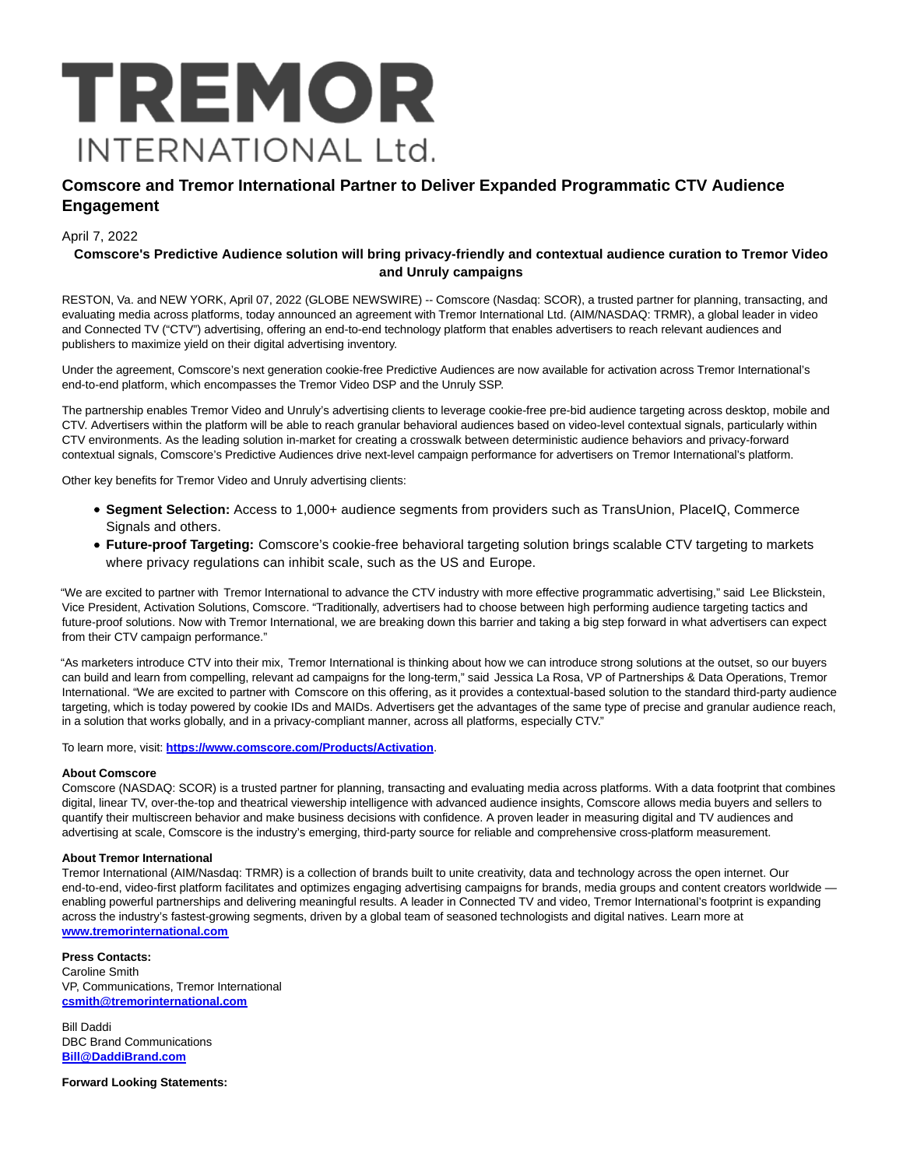

# **Comscore and Tremor International Partner to Deliver Expanded Programmatic CTV Audience Engagement**

## April 7, 2022

## **Comscore's Predictive Audience solution will bring privacy-friendly and contextual audience curation to Tremor Video and Unruly campaigns**

RESTON, Va. and NEW YORK, April 07, 2022 (GLOBE NEWSWIRE) -- Comscore (Nasdaq: SCOR), a trusted partner for planning, transacting, and evaluating media across platforms, today announced an agreement with Tremor International Ltd. (AIM/NASDAQ: TRMR), a global leader in video and Connected TV ("CTV") advertising, offering an end-to-end technology platform that enables advertisers to reach relevant audiences and publishers to maximize yield on their digital advertising inventory.

Under the agreement, Comscore's next generation cookie-free Predictive Audiences are now available for activation across Tremor International's end-to-end platform, which encompasses the Tremor Video DSP and the Unruly SSP.

The partnership enables Tremor Video and Unruly's advertising clients to leverage cookie-free pre-bid audience targeting across desktop, mobile and CTV. Advertisers within the platform will be able to reach granular behavioral audiences based on video-level contextual signals, particularly within CTV environments. As the leading solution in-market for creating a crosswalk between deterministic audience behaviors and privacy-forward contextual signals, Comscore's Predictive Audiences drive next-level campaign performance for advertisers on Tremor International's platform.

Other key benefits for Tremor Video and Unruly advertising clients:

- **Segment Selection:** Access to 1,000+ audience segments from providers such as TransUnion, PlaceIQ, Commerce Signals and others.
- **Future-proof Targeting:** Comscore's cookie-free behavioral targeting solution brings scalable CTV targeting to markets where privacy regulations can inhibit scale, such as the US and Europe.

"We are excited to partner with Tremor International to advance the CTV industry with more effective programmatic advertising," said Lee Blickstein, Vice President, Activation Solutions, Comscore. "Traditionally, advertisers had to choose between high performing audience targeting tactics and future-proof solutions. Now with Tremor International, we are breaking down this barrier and taking a big step forward in what advertisers can expect from their CTV campaign performance."

"As marketers introduce CTV into their mix, Tremor International is thinking about how we can introduce strong solutions at the outset, so our buyers can build and learn from compelling, relevant ad campaigns for the long-term," said Jessica La Rosa, VP of Partnerships & Data Operations, Tremor International. "We are excited to partner with Comscore on this offering, as it provides a contextual-based solution to the standard third-party audience targeting, which is today powered by cookie IDs and MAIDs. Advertisers get the advantages of the same type of precise and granular audience reach, in a solution that works globally, and in a privacy-compliant manner, across all platforms, especially CTV."

To learn more, visit: **[https://www.comscore.com/Products/Activation](https://www.globenewswire.com/Tracker?data=43fr87dZkml4NOpvx20DPorxqt5HXBdGjFOit_EzUyb51dgfihshtdoFt44aI1yY6Cw0VdreVK5BhY51t8Tg4RO0Uq0PXF0l6ai5u9KX6WdsUTHvBgK-ZnNmjlM3zpwC552mwa3_Vv5FGV9_F2ak1w==)**.

#### **About Comscore**

Comscore (NASDAQ: SCOR) is a trusted partner for planning, transacting and evaluating media across platforms. With a data footprint that combines digital, linear TV, over-the-top and theatrical viewership intelligence with advanced audience insights, Comscore allows media buyers and sellers to quantify their multiscreen behavior and make business decisions with confidence. A proven leader in measuring digital and TV audiences and advertising at scale, Comscore is the industry's emerging, third-party source for reliable and comprehensive cross-platform measurement.

#### **About Tremor International**

Tremor International (AIM/Nasdaq: TRMR) is a collection of brands built to unite creativity, data and technology across the open internet. Our end-to-end, video-first platform facilitates and optimizes engaging advertising campaigns for brands, media groups and content creators worldwide enabling powerful partnerships and delivering meaningful results. A leader in Connected TV and video, Tremor International's footprint is expanding across the industry's fastest-growing segments, driven by a global team of seasoned technologists and digital natives. Learn more at **[www.tremorinternational.com](https://www.globenewswire.com/Tracker?data=ghjEzo6YRfm-Y3F_mcEvSMtMJ8UFsEC7AUBvwdly1Zoo4d6pHbGvHGgN9jlQdKXeOZAt_gzKP4or8Qzs0GpHGyRNNeiH6ZYgi_S8npNMZZm9WCb4w_BlNL5R02AgU8fD)**

## **Press Contacts:**

Caroline Smith VP, Communications, Tremor International **[csmith@tremorinternational.com](https://www.globenewswire.com/Tracker?data=vx3P2kTZ3CHR4Xh08QEVXq1DxPtdVKKVppnzt9B6xCCbIAyemup9UmoatZ2RYS8s_Vo59xbxBgkBsOICIAqkphYueB-gTOA_NhSLLC00iumqdwNKRoegNguwJ64_jm5J)**

Bill Daddi DBC Brand Communications **[Bill@DaddiBrand.com](https://www.globenewswire.com/Tracker?data=Ewx81eh8FwtysIhu2KTxTrbz6UwtraUIWWW-t_o4V0Y1CLF_qa8PFgArwGqlTTF8Q1uOffFaR_zZWSwoz2zMRiHloAkZuANu82DJdZUIW9Q=)**

**Forward Looking Statements:**